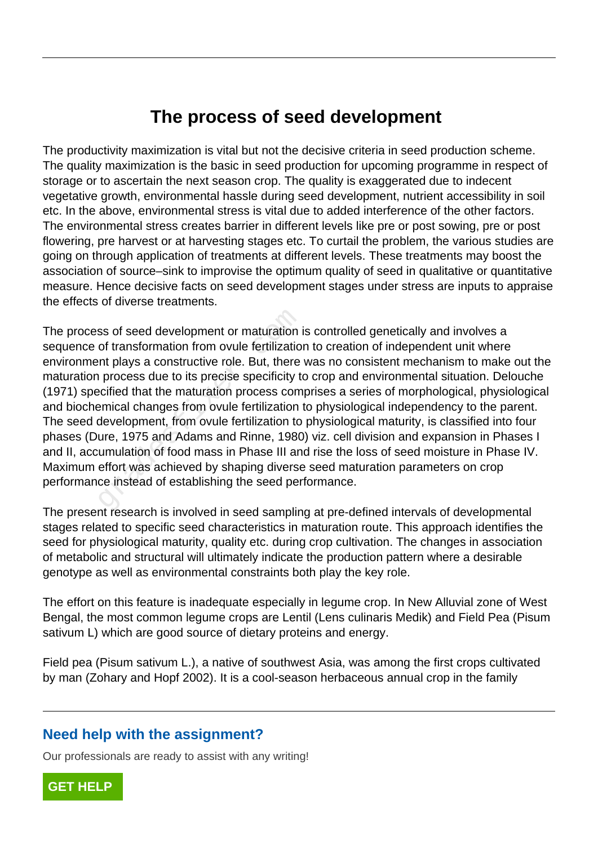## **The process of seed development**

The productivity maximization is vital but not the decisive criteria in seed production scheme. The quality maximization is the basic in seed production for upcoming programme in respect of storage or to ascertain the next season crop. The quality is exaggerated due to indecent vegetative growth, environmental hassle during seed development, nutrient accessibility in soil etc. In the above, environmental stress is vital due to added interference of the other factors. The environmental stress creates barrier in different levels like pre or post sowing, pre or post flowering, pre harvest or at harvesting stages etc. To curtail the problem, the various studies are going on through application of treatments at different levels. These treatments may boost the association of source–sink to improvise the optimum quality of seed in qualitative or quantitative measure. Hence decisive facts on seed development stages under stress are inputs to appraise the effects of diverse treatments.

The process of seed development or maturation is controlled genetically and involves a sequence of transformation from ovule fertilization to creation of independent unit where environment plays a constructive role. But, there was no consistent mechanism to make out the maturation process due to its precise specificity to crop and environmental situation. Delouche (1971) specified that the maturation process comprises a series of morphological, physiological and biochemical changes from ovule fertilization to physiological independency to the parent. The seed development, from ovule fertilization to physiological maturity, is classified into four phases (Dure, 1975 and Adams and Rinne, 1980) viz. cell division and expansion in Phases I and II, accumulation of food mass in Phase III and rise the loss of seed moisture in Phase IV. Maximum effort was achieved by shaping diverse seed maturation parameters on crop performance instead of establishing the seed performance. ss of seed development or maturation in<br>of transformation from ovule fertilizatio<br>int plays a constructive role. But, there<br>process due to its precise specificity to<br>ecified that the maturation process com<br>emical changes f

The present research is involved in seed sampling at pre-defined intervals of developmental stages related to specific seed characteristics in maturation route. This approach identifies the seed for physiological maturity, quality etc. during crop cultivation. The changes in association of metabolic and structural will ultimately indicate the production pattern where a desirable genotype as well as environmental constraints both play the key role.

The effort on this feature is inadequate especially in legume crop. In New Alluvial zone of West Bengal, the most common legume crops are Lentil (Lens culinaris Medik) and Field Pea (Pisum sativum L) which are good source of dietary proteins and energy.

Field pea (Pisum sativum L.), a native of southwest Asia, was among the first crops cultivated by man (Zohary and Hopf 2002). It is a cool-season herbaceous annual crop in the family

## **Need help with the assignment?**

Our professionals are ready to assist with any writing!